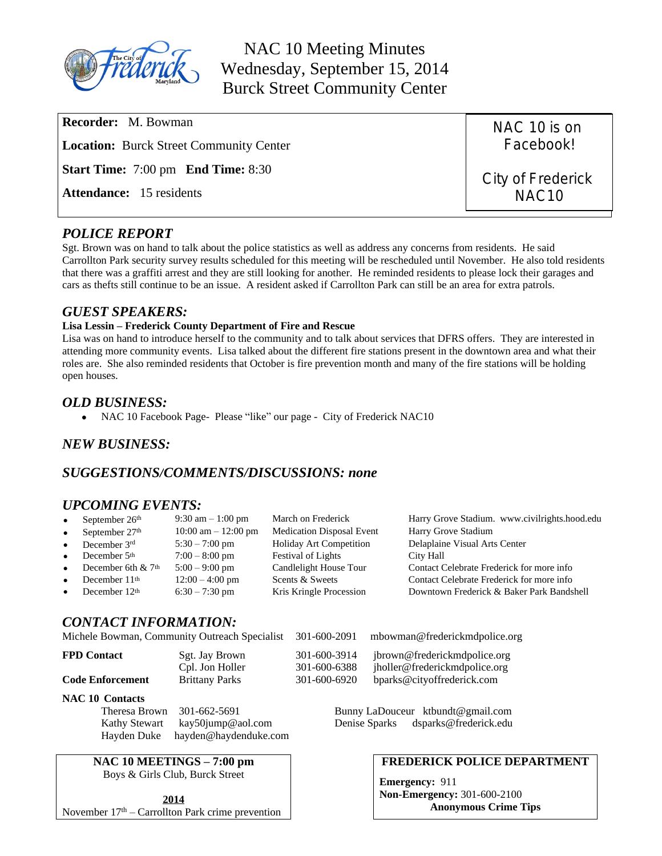

NAC 10 Meeting Minutes Wednesday, September 15, 2014 Burck Street Community Center

| <b>Recorder:</b> M. Bowman                       | NAC 10 is on      |
|--------------------------------------------------|-------------------|
| <b>Location:</b> Burck Street Community Center   | Facebook!         |
| <b>Start Time:</b> 7:00 pm <b>End Time:</b> 8:30 | City of Frederick |
| <b>Attendance:</b> 15 residents                  | NAC <sub>10</sub> |

# *POLICE REPORT*

Sgt. Brown was on hand to talk about the police statistics as well as address any concerns from residents. He said Carrollton Park security survey results scheduled for this meeting will be rescheduled until November. He also told residents that there was a graffiti arrest and they are still looking for another. He reminded residents to please lock their garages and cars as thefts still continue to be an issue. A resident asked if Carrollton Park can still be an area for extra patrols.

#### *GUEST SPEAKERS:*

#### **Lisa Lessin – Frederick County Department of Fire and Rescue**

Lisa was on hand to introduce herself to the community and to talk about services that DFRS offers. They are interested in attending more community events. Lisa talked about the different fire stations present in the downtown area and what their roles are. She also reminded residents that October is fire prevention month and many of the fire stations will be holding open houses.

#### *OLD BUSINESS:*

• NAC 10 Facebook Page- Please "like" our page - City of Frederick NAC10

# *NEW BUSINESS:*

# *SUGGESTIONS/COMMENTS/DISCUSSIONS: none*

# *UPCOMING EVENTS:*

| $\bullet$ | September 26 <sup>th</sup> | $9:30 \text{ am} - 1:00 \text{ pm}$ | March on Frederick               | Harry Grove Stadium. www.civilrights.hood.edu |
|-----------|----------------------------|-------------------------------------|----------------------------------|-----------------------------------------------|
| $\bullet$ | September 27th             | $10:00$ am $- 12:00$ pm             | <b>Medication Disposal Event</b> | Harry Grove Stadium                           |
| $\bullet$ | December 3rd               | $5:30 - 7:00$ pm                    | Holiday Art Competition          | Delaplaine Visual Arts Center                 |
| $\bullet$ | December 5th               | $7:00 - 8:00$ pm                    | <b>Festival of Lights</b>        | City Hall                                     |
| $\bullet$ | December 6th $& 7th$       | $5:00 - 9:00$ pm                    | Candlelight House Tour           | Contact Celebrate Frederick for more info     |
| $\bullet$ | December 11th              | $12:00 - 4:00$ pm                   | Scents & Sweets                  | Contact Celebrate Frederick for more info     |
| $\bullet$ | December 12th              | $6:30 - 7:30$ pm                    | Kris Kringle Procession          | Downtown Frederick & Baker Park Bandshell     |
|           |                            |                                     |                                  |                                               |

# *CONTACT INFORMATION:*

|                         | Michele Bowman, Community Outreach Specialist | 301-600-2091                 | mbowman@frederickmdpolice.org                                 |
|-------------------------|-----------------------------------------------|------------------------------|---------------------------------------------------------------|
| <b>FPD Contact</b>      | Sgt. Jay Brown<br>Cpl. Jon Holler             | 301-600-3914<br>301-600-6388 | jbrown@frederickmdpolice.org<br>jholler@frederickmdpolice.org |
| <b>Code Enforcement</b> | <b>Brittany Parks</b>                         | 301-600-6920                 | bparks@cityoffrederick.com                                    |
| <b>NAC 10 Contacts</b>  |                                               |                              |                                                               |

Theresa Brown 301-662-5691 Bunny LaDouceur [ktbundt@gmail.com](mailto:ktbun@aol.com) Kathy Stewart [kay50jump@aol.com](mailto:kay50jump@aol.com) Denise Sparks dsparks@frederick.edu

# **NAC 10 MEETINGS – 7:00 pm**

Hayden Duke [hayden@haydenduke.com](mailto:hayden@haydenduke.com)

Boys & Girls Club, Burck Street

**2014** November  $17<sup>th</sup>$  – Carrollton Park crime prevention

#### **FREDERICK POLICE DEPARTMENT**

**Emergency:** 911 **Non-Emergency:** 301-600-2100 **Anonymous Crime Tips**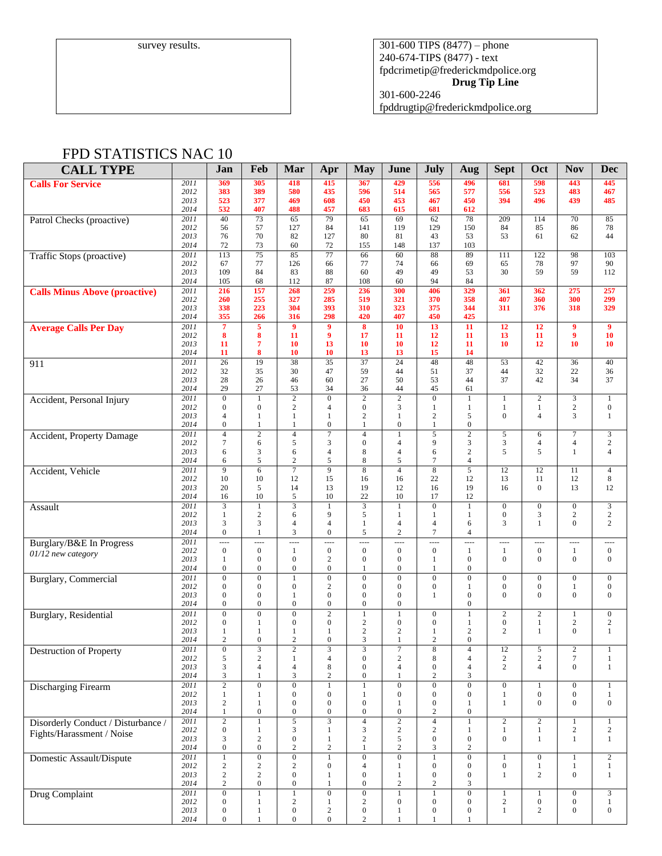survey results.  $\vert$  301-600 TIPS (8477) – phone 240-674-TIPS (8477) - text [fpdcrimetip@frederickmdpolice.org](mailto:fpdcrimetip@frederickmdpolice.org) **Drug Tip Line**

301-600-2246

fpddrugtip@frederickmdpolice.org

# FPD STATISTICS NAC 10

| <b>CALL TYPE</b>                     |              | Jan                                | Feb                                | Mar                                  | Apr                                | <b>May</b>                           | June                               | July                               | Aug                              | <b>Sept</b>                          | Oct                                  | <b>Nov</b>                     | <b>Dec</b>                     |
|--------------------------------------|--------------|------------------------------------|------------------------------------|--------------------------------------|------------------------------------|--------------------------------------|------------------------------------|------------------------------------|----------------------------------|--------------------------------------|--------------------------------------|--------------------------------|--------------------------------|
| <b>Calls For Service</b>             | 2011         | 369                                | 305                                | 418                                  | 415                                | 367                                  | 429                                | 556                                | 496                              | 681                                  | 598                                  | 443                            | 445                            |
|                                      | 2012         | 383                                | 389                                | 580                                  | 435                                | 596                                  | 514                                | 565                                | 577                              | 556                                  | 523                                  | 483                            | 467                            |
|                                      | 2013<br>2014 | 523<br>532                         | 377<br>407                         | 469<br>488                           | 608<br>457                         | 450<br>683                           | 453<br>615                         | 467<br>681                         | 450<br>612                       | 394                                  | 496                                  | 439                            | 485                            |
| Patrol Checks (proactive)            | 2011         | 40                                 | 73                                 | 65                                   | 79                                 | 65                                   | 69                                 | 62                                 | 78                               | 209                                  | 114                                  | 70                             | 85                             |
|                                      | 2012         | 56                                 | 57                                 | 127                                  | 84                                 | 141                                  | 119                                | 129                                | 150                              | 84                                   | 85                                   | 86                             | 78                             |
|                                      | 2013         | 76                                 | 70                                 | 82                                   | 127                                | 80                                   | 81                                 | 43                                 | 53                               | 53                                   | 61                                   | 62                             | 44                             |
|                                      | 2014<br>2011 | 72<br>113                          | 73<br>$\overline{75}$              | 60<br>85                             | 72<br>77                           | 155<br>66                            | 148<br>60                          | 137<br>88                          | 103<br>89                        | 111                                  | 122                                  | 98                             | 103                            |
| Traffic Stops (proactive)            | 2012         | 67                                 | 77                                 | 126                                  | 66                                 | 77                                   | 74                                 | 66                                 | 69                               | 65                                   | 78                                   | 97                             | 90                             |
|                                      | 2013         | 109                                | 84                                 | 83                                   | 88                                 | 60                                   | 49                                 | 49                                 | 53                               | 30                                   | 59                                   | 59                             | 112                            |
|                                      | 2014         | 105                                | 68                                 | 112                                  | 87                                 | 108                                  | 60                                 | 94                                 | 84                               |                                      |                                      |                                |                                |
| <b>Calls Minus Above (proactive)</b> | 2011<br>2012 | 216<br>260                         | 157<br>255                         | 268<br>327                           | 259<br>285                         | 236<br>519                           | 300<br>321                         | 406<br>370                         | 329<br>358                       | 361<br>407                           | 362<br>360                           | 275<br>300                     | 257<br>299                     |
|                                      | 2013         | 338                                | 223                                | 304                                  | 393                                | 310                                  | 323                                | 375                                | 344                              | 311                                  | 376                                  | 318                            | 329                            |
|                                      | 2014         | 355                                | 266                                | 316                                  | 298                                | 420                                  | 407                                | 450                                | 425                              |                                      |                                      |                                |                                |
| <b>Average Calls Per Day</b>         | 2011         | $\overline{7}$                     | 5                                  | $\overline{9}$                       | $\boldsymbol{9}$                   | 8                                    | 10                                 | 13                                 | 11                               | 12                                   | 12                                   | 9                              | $\overline{9}$                 |
|                                      | 2012<br>2013 | 8<br>11                            | 8<br>7                             | 11<br>10                             | 9<br>13                            | 17<br>10                             | 11<br>10                           | 12<br>12                           | 11<br>11                         | 13<br>10                             | 11<br>12                             | $\overline{9}$<br>10           | 10<br>10                       |
|                                      | 2014         | 11                                 | 8                                  | 10                                   | 10                                 | 13                                   | 13                                 | 15                                 | 14                               |                                      |                                      |                                |                                |
| 911                                  | 2011         | 26                                 | 19                                 | 38                                   | $\overline{35}$                    | 37                                   | $\overline{24}$                    | 48                                 | 48                               | 53                                   | 42                                   | 36                             | 40                             |
|                                      | 2012         | 32                                 | 35                                 | 30                                   | 47                                 | 59                                   | 44                                 | 51                                 | 37                               | 44                                   | 32                                   | 22                             | 36                             |
|                                      | 2013         | 28                                 | 26                                 | 46                                   | 60                                 | 27                                   | 50                                 | 53                                 | 44                               | 37                                   | 42                                   | 34                             | 37                             |
|                                      | 2014<br>2011 | 29<br>$\boldsymbol{0}$             | 27<br>$\mathbf{1}$                 | 53<br>$\overline{2}$                 | 34<br>$\boldsymbol{0}$             | 36<br>$\sqrt{2}$                     | 44<br>$\overline{2}$               | 45<br>$\mathbf{0}$                 | 61<br>$\mathbf{1}$               | $\mathbf{1}$                         | $\overline{c}$                       | $\mathfrak{Z}$                 | $\mathbf{1}$                   |
| Accident, Personal Injury            | 2012         | $\mathbf{0}$                       | $\mathbf{0}$                       | $\mathbf{2}$                         | $\overline{4}$                     | $\boldsymbol{0}$                     | 3                                  | 1                                  | $\mathbf{1}$                     | $\mathbf{1}$                         | 1                                    | $\sqrt{2}$                     | $\boldsymbol{0}$               |
|                                      | 2013         | $\overline{4}$                     | 1                                  | 1                                    | 1                                  | $\mathbf{2}$                         | 1                                  | $\mathbf{2}$                       | 5                                | $\overline{0}$                       | $\overline{4}$                       | 3                              | $\mathbf{1}$                   |
|                                      | 2014         | $\boldsymbol{0}$                   | $\mathbf{1}$                       | $\mathbf{1}$                         | $\boldsymbol{0}$                   | $\mathbf{1}$                         | $\overline{0}$                     | $\mathbf{1}$                       | $\mathbf{0}$                     |                                      |                                      |                                |                                |
| <b>Accident, Property Damage</b>     | 2011<br>2012 | $\overline{4}$<br>$\overline{7}$   | $\overline{2}$<br>6                | $\overline{4}$<br>5                  | $\overline{7}$<br>3                | $\overline{4}$<br>$\overline{0}$     | $\mathbf{1}$<br>$\overline{4}$     | $\overline{5}$<br>9                | $\overline{2}$<br>3              | 5<br>3                               | 6                                    | $\tau$                         | 3<br>$\overline{2}$            |
|                                      | 2013         | 6                                  | 3                                  | 6                                    | $\overline{4}$                     | 8                                    | $\overline{4}$                     | 6                                  | $\overline{2}$                   | 5                                    | $\overline{4}$<br>5                  | $\overline{4}$<br>$\mathbf{1}$ | $\overline{4}$                 |
|                                      | 2014         | 6                                  | 5                                  | $\overline{2}$                       | 5                                  | 8                                    | 5                                  | 7                                  | $\overline{4}$                   |                                      |                                      |                                |                                |
| Accident, Vehicle                    | 2011         | 9                                  | 6                                  | $\overline{7}$                       | 9                                  | 8                                    | $\overline{4}$                     | 8                                  | 5                                | 12                                   | 12                                   | 11                             | $\overline{4}$                 |
|                                      | 2012         | 10                                 | 10                                 | 12                                   | 15                                 | 16                                   | 16                                 | 22                                 | 12                               | 13                                   | 11                                   | 12                             | 8                              |
|                                      | 2013<br>2014 | 20<br>16                           | 5<br>10                            | 14<br>5                              | 13<br>10                           | 19<br>22                             | 12<br>10                           | 16<br>17                           | 19<br>12                         | 16                                   | $\mathbf{0}$                         | 13                             | 12                             |
| Assault                              | 2011         | $\overline{3}$                     | $\mathbf{1}$                       | $\overline{3}$                       | 1                                  | 3                                    | $\mathbf{1}$                       | $\mathbf{0}$                       | $\mathbf{1}$                     | $\boldsymbol{0}$                     | $\boldsymbol{0}$                     | $\mathbf{0}$                   | 3                              |
|                                      | 2012         | $\mathbf{1}$                       | $\overline{c}$                     | 6                                    | 9                                  | 5                                    | 1                                  | 1                                  | $\mathbf{1}$                     | $\boldsymbol{0}$                     | 3                                    | $\sqrt{2}$                     | $\mathbf{2}$                   |
|                                      | 2013         | 3                                  | 3                                  | $\overline{4}$                       | $\overline{4}$                     | 1                                    | $\overline{4}$                     | $\overline{4}$                     | 6                                | 3                                    | 1                                    | $\mathbf{0}$                   | $\overline{c}$                 |
|                                      | 2014<br>2011 | $\mathbf{0}$<br>----               | $\mathbf{1}$<br>----               | 3<br>$\overline{a}$                  | $\boldsymbol{0}$<br>$\overline{a}$ | 5<br>$\overline{a}$                  | $\mathbf{2}$<br>----               | $\overline{7}$<br>$\overline{a}$   | $\overline{4}$<br>$\overline{a}$ | ----                                 | ----                                 | $\cdots$                       | $\cdots$                       |
| Burglary/B&E In Progress             | 2012         | $\boldsymbol{0}$                   | $\boldsymbol{0}$                   | $\mathbf{1}$                         | $\mathbf{0}$                       | $\boldsymbol{0}$                     | $\boldsymbol{0}$                   | $\boldsymbol{0}$                   | $\mathbf{1}$                     | $\mathbf{1}$                         | $\boldsymbol{0}$                     | $\mathbf{1}$                   | $\overline{0}$                 |
| 01/12 new category                   | 2013         | $\mathbf{1}$                       | $\mathbf{0}$                       | $\mathbf{0}$                         | $\mathbf{2}$                       | $\boldsymbol{0}$                     | $\boldsymbol{0}$                   | 1                                  | $\overline{0}$                   | $\overline{0}$                       | $\overline{0}$                       | $\mathbf{0}$                   | $\overline{0}$                 |
|                                      | 2014         | $\boldsymbol{0}$                   | $\mathbf{0}$                       | $\mathbf{0}$                         | $\boldsymbol{0}$                   | 1                                    | $\boldsymbol{0}$                   | 1                                  | $\mathbf{0}$                     |                                      |                                      |                                |                                |
| <b>Burglary</b> , Commercial         | 2011<br>2012 | $\overline{0}$<br>$\boldsymbol{0}$ | $\mathbf{0}$<br>$\mathbf{0}$       | $\mathbf{1}$<br>$\boldsymbol{0}$     | $\overline{0}$<br>2                | $\mathbf{0}$<br>$\boldsymbol{0}$     | $\overline{0}$<br>$\boldsymbol{0}$ | $\mathbf{0}$<br>$\mathbf{0}$       | $\overline{0}$<br>$\mathbf{1}$   | $\boldsymbol{0}$<br>$\boldsymbol{0}$ | $\boldsymbol{0}$<br>$\boldsymbol{0}$ | $\mathbf{0}$                   | $\mathbf{0}$<br>$\mathbf{0}$   |
|                                      | 2013         | $\mathbf{0}$                       | $\mathbf{0}$                       | $\mathbf{1}$                         | $\mathbf{0}$                       | $\mathbf{0}$                         | $\boldsymbol{0}$                   | 1                                  | $\mathbf{0}$                     | $\mathbf{0}$                         | $\overline{0}$                       | 1<br>$\mathbf{0}$              | $\overline{0}$                 |
|                                      | 2014         | $\boldsymbol{0}$                   | $\mathbf{0}$                       | $\mathbf{0}$                         | $\boldsymbol{0}$                   | $\boldsymbol{0}$                     | $\boldsymbol{0}$                   |                                    | $\mathbf{0}$                     |                                      |                                      |                                |                                |
| Burglary, Residential                | 2011         | $\overline{0}$                     | $\overline{0}$                     | $\overline{0}$                       | $\overline{2}$                     | $\mathbf{1}$                         | $\mathbf{1}$                       | $\mathbf{0}$                       | $\overline{1}$                   | $\overline{2}$                       | $\overline{c}$                       | $\mathbf{1}$                   | $\overline{0}$                 |
|                                      | 2012         | $\boldsymbol{0}$                   | 1                                  | $\boldsymbol{0}$                     | $\mathbf{0}$                       | 2                                    | $\boldsymbol{0}$                   | 0                                  | $\mathbf{1}$                     | $\boldsymbol{0}$                     | 1                                    | $\boldsymbol{2}$               | $\boldsymbol{2}$               |
|                                      | 2013<br>2014 | 1<br>2                             | 1<br>$\mathbf{0}$                  | 1<br>$\overline{2}$                  | 1<br>$\mathbf{0}$                  | $\mathbf{2}$<br>3                    | $\sqrt{2}$<br>1                    | 1<br>$\boldsymbol{2}$              | $\overline{2}$<br>$\overline{0}$ | $\mathbf{2}$                         | 1                                    | $\mathbf{0}$                   | $\mathbf{1}$                   |
| <b>Destruction of Property</b>       | 2011         | $\boldsymbol{0}$                   | 3                                  | $\boldsymbol{2}$                     | $\overline{3}$                     | $\overline{\mathbf{3}}$              | $\overline{7}$                     | 8                                  |                                  | 12                                   | 5                                    | $\overline{\mathbf{c}}$        | 1                              |
|                                      | 2012         | 5                                  | $\mathfrak{2}$                     | $\mathbf{1}$                         | $\overline{4}$                     | $\boldsymbol{0}$                     | $\overline{\mathbf{c}}$            | 8                                  | 4                                | $\overline{c}$                       | $\sqrt{2}$                           | $\tau$                         | $\mathbf{1}$                   |
|                                      | 2013         | 3                                  | $\overline{4}$                     | $\overline{4}$                       | 8                                  | 0                                    | $\overline{4}$                     | $\boldsymbol{0}$                   | $\overline{4}$                   | $\overline{2}$                       | $\overline{4}$                       | $\mathbf{0}$                   | $\mathbf{1}$                   |
|                                      | 2014<br>2011 | 3<br>$\overline{2}$                | 1<br>$\overline{0}$                | 3<br>$\overline{0}$                  | $\overline{c}$<br>1                | $\boldsymbol{0}$<br>$\overline{1}$   | 1<br>$\overline{0}$                | $\boldsymbol{2}$<br>$\overline{0}$ | 3<br>$\overline{0}$              | $\overline{0}$                       |                                      | $\overline{0}$                 | $\mathbf{1}$                   |
| Discharging Firearm                  | 2012         | $\mathbf{1}$                       | 1                                  | $\boldsymbol{0}$                     | $\boldsymbol{0}$                   | $\mathbf{1}$                         | $\boldsymbol{0}$                   | $\boldsymbol{0}$                   | $\boldsymbol{0}$                 | $\mathbf{1}$                         | $\boldsymbol{0}$                     | $\boldsymbol{0}$               | $\mathbf{1}$                   |
|                                      | 2013         | $\boldsymbol{2}$                   | 1                                  | $\mathbf{0}$                         | $\boldsymbol{0}$                   | $\boldsymbol{0}$                     | 1                                  | $\mathbf{0}$                       | 1                                | 1                                    | $\mathbf{0}$                         | $\boldsymbol{0}$               | $\overline{0}$                 |
|                                      | 2014         | $\mathbf{1}$                       | $\boldsymbol{0}$                   | $\boldsymbol{0}$                     | $\boldsymbol{0}$                   | $\boldsymbol{0}$                     | $\boldsymbol{0}$                   | $\overline{c}$                     | $\boldsymbol{0}$                 |                                      |                                      |                                |                                |
| Disorderly Conduct / Disturbance /   | 2011         | $\overline{2}$                     | $\mathbf{1}$                       | $\overline{5}$                       | $\overline{3}$                     | $\overline{4}$                       | $\overline{2}$                     | $\overline{4}$                     | $\mathbf{1}$                     | $\sqrt{2}$<br>$\mathbf{1}$           | $\overline{2}$                       | $\mathbf{1}$                   | $\mathbf{1}$                   |
| Fights/Harassment / Noise            | 2012<br>2013 | $\boldsymbol{0}$<br>3              | $\mathbf{1}$<br>$\boldsymbol{2}$   | $\mathfrak{Z}$<br>$\boldsymbol{0}$   | 1                                  | 3<br>$\boldsymbol{2}$                | $\sqrt{2}$<br>5                    | $\sqrt{2}$<br>$\boldsymbol{0}$     | $\mathbf{1}$<br>$\boldsymbol{0}$ | $\boldsymbol{0}$                     | $\mathbf{1}$<br>1                    | $\sqrt{2}$<br>1                | $\overline{c}$<br>$\mathbf{1}$ |
|                                      | 2014         | $\boldsymbol{0}$                   | $\boldsymbol{0}$                   | $\sqrt{2}$                           | $\sqrt{2}$                         | $\mathbf{1}$                         | $\overline{c}$                     | 3                                  | 2                                |                                      |                                      |                                |                                |
| Domestic Assault/Dispute             | 2011         | $\mathbf{1}$                       | $\boldsymbol{0}$                   | $\boldsymbol{0}$                     | 1                                  | $\boldsymbol{0}$                     | $\overline{0}$                     | 1                                  | $\boldsymbol{0}$                 | $\mathbf{1}$                         | $\boldsymbol{0}$                     | $\mathbf{1}$                   | $\overline{c}$                 |
|                                      | 2012         | $\sqrt{2}$                         | $\sqrt{2}$                         | $\sqrt{2}$                           | $\mathbf{0}$                       | 4                                    | 1                                  | $\mathbf{0}$                       | $\boldsymbol{0}$                 | $\boldsymbol{0}$                     | $\mathbf{1}$                         | $\mathbf{1}$                   | $\mathbf{1}$                   |
|                                      | 2013<br>2014 | $\sqrt{2}$<br>$\mathbf{2}$         | $\overline{c}$<br>$\boldsymbol{0}$ | $\boldsymbol{0}$<br>$\boldsymbol{0}$ | 1<br>$\mathbf{1}$                  | $\boldsymbol{0}$<br>$\boldsymbol{0}$ | $\mathbf{1}$<br>$\boldsymbol{2}$   | $\mathbf{0}$<br>$\overline{c}$     | $\boldsymbol{0}$<br>3            | 1                                    | 2                                    | $\boldsymbol{0}$               | $\mathbf{1}$                   |
| Drug Complaint                       | 2011         | $\boldsymbol{0}$                   | $\mathbf{1}$                       | $\mathbf{1}$                         | $\mathbf{0}$                       | $\boldsymbol{0}$                     | $\mathbf{1}$                       | 1                                  | $\mathbf{0}$                     | $\mathbf{1}$                         |                                      | $\mathbf{0}$                   | $\mathfrak{Z}$                 |
|                                      | 2012         | $\boldsymbol{0}$                   | $\mathbf{1}$                       | $\sqrt{2}$                           | 1                                  | $\mathbf{2}$                         | $\boldsymbol{0}$                   | $\boldsymbol{0}$                   | $\boldsymbol{0}$                 | $\sqrt{2}$                           | $\boldsymbol{0}$                     | $\boldsymbol{0}$               | $\mathbf{1}$                   |
|                                      | 2013         | $\boldsymbol{0}$                   | $\mathbf{1}$                       | $\boldsymbol{0}$                     | $\boldsymbol{2}$                   | $\boldsymbol{0}$                     | $\mathbf{1}$                       | $\boldsymbol{0}$                   | $\boldsymbol{0}$                 | $\mathbf{1}$                         | $\overline{c}$                       | $\boldsymbol{0}$               | $\mathbf{0}$                   |
|                                      | 2014         | $\boldsymbol{0}$                   | $\mathbf{1}$                       | $\boldsymbol{0}$                     | $\boldsymbol{0}$                   | $\overline{c}$                       | $\mathbf{1}$                       | 1                                  | $\mathbf{1}$                     |                                      |                                      |                                |                                |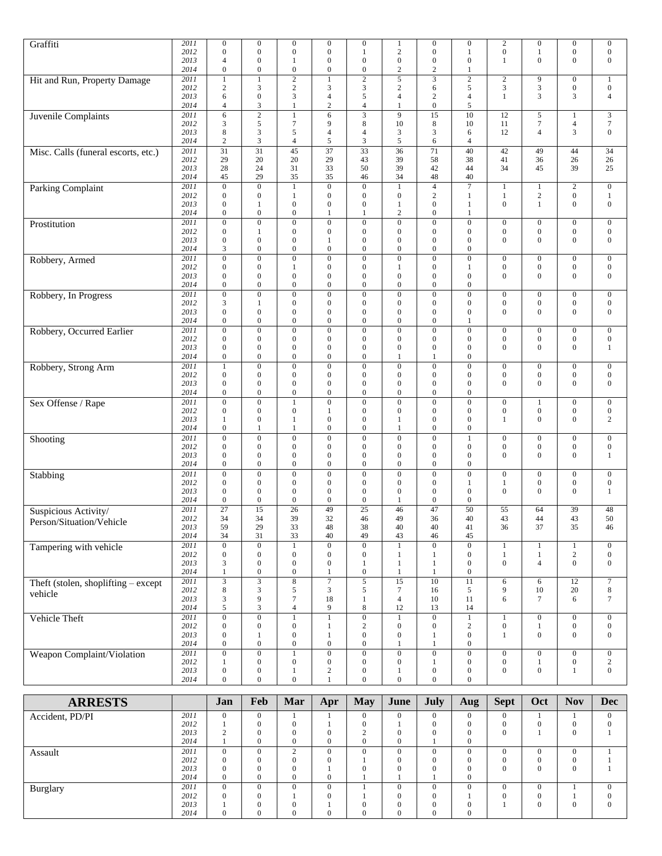| Graffiti                              | 2011     | $\boldsymbol{0}$      | $\boldsymbol{0}$            | $\boldsymbol{0}$ | $\boldsymbol{0}$                 | $\boldsymbol{0}$ | $\mathbf{1}$      | $\boldsymbol{0}$ | $\boldsymbol{0}$ | $\sqrt{2}$       | $\boldsymbol{0}$                 | $\boldsymbol{0}$ | $\boldsymbol{0}$ |
|---------------------------------------|----------|-----------------------|-----------------------------|------------------|----------------------------------|------------------|-------------------|------------------|------------------|------------------|----------------------------------|------------------|------------------|
|                                       | 2012     | $\mathbf{0}$          | $\boldsymbol{0}$            | $\boldsymbol{0}$ | $\mathbf{0}$                     | 1                | $\sqrt{2}$        | $\Omega$         | 1                | $\boldsymbol{0}$ | $\mathbf{1}$                     | $\mathbf{0}$     | $\boldsymbol{0}$ |
|                                       | 2013     | 4                     | $\mathbf{0}$                | 1                | $\boldsymbol{0}$                 | $\mathbf{0}$     | $\boldsymbol{0}$  | $\boldsymbol{0}$ | $\mathbf{0}$     | 1                | $\boldsymbol{0}$                 | $\boldsymbol{0}$ | $\boldsymbol{0}$ |
|                                       | 2014     | $\boldsymbol{0}$      | $\boldsymbol{0}$            | $\boldsymbol{0}$ | $\boldsymbol{0}$                 | $\boldsymbol{0}$ | $\mathbf{2}$      | $\overline{c}$   | $\mathbf{1}$     |                  |                                  |                  |                  |
| Hit and Run, Property Damage          | 2011     | 1                     | $\mathbf{1}$                | $\overline{2}$   |                                  | $\overline{2}$   | 5                 | 3                | $\overline{2}$   | $\sqrt{2}$       | 9                                | $\boldsymbol{0}$ | $\mathbf{1}$     |
|                                       | 2012     | $\sqrt{2}$            | 3                           | $\sqrt{2}$       | 3                                | $\mathfrak z$    | $\sqrt{2}$        | 6                | $\sqrt{5}$       | 3                | $\mathfrak{Z}$                   | $\boldsymbol{0}$ | $\boldsymbol{0}$ |
|                                       | 2013     | 6                     | $\mathbf{0}$                | 3                | $\overline{4}$                   | 5                | $\overline{4}$    | $\mathfrak{2}$   | $\overline{4}$   | $\mathbf{1}$     | 3                                | 3                | $\overline{4}$   |
|                                       | 2014     | $\overline{4}$        | $\mathfrak{Z}$              | $\mathbf{1}$     | $\overline{c}$                   | $\overline{4}$   | $\mathbf{1}$      | $\boldsymbol{0}$ | 5                |                  |                                  |                  |                  |
| <b>Juvenile Complaints</b>            | 2011     | 6                     | $\overline{2}$              | $\mathbf{1}$     | 6                                | $\overline{3}$   | 9                 | 15               | 10               | 12               | 5                                | $\mathbf{1}$     | $\mathfrak{Z}$   |
|                                       | 2012     | 3                     | $\sqrt{5}$                  | 7                | 9                                | $\,$ 8 $\,$      | 10                | 8                | 10               | 11               | 7                                | $\overline{4}$   | $\tau$           |
|                                       | 2013     | 8                     | 3                           | 5                | $\overline{4}$                   | $\overline{4}$   | 3                 | 3                | 6                | 12               | $\overline{4}$                   | 3                | $\boldsymbol{0}$ |
|                                       | 2014     | $\mathbf{2}$          | $\mathfrak{Z}$              | 4                | 5                                | $\mathfrak{Z}$   | 5                 | 6                | $\overline{4}$   |                  |                                  |                  |                  |
|                                       |          |                       |                             |                  |                                  |                  |                   |                  |                  |                  |                                  |                  |                  |
| Misc. Calls (funeral escorts, etc.)   | 2011     | 31                    | 31                          | 45               | 37                               | 33               | $\overline{36}$   | 71               | 40               | 42               | 49                               | 44               | 34               |
|                                       | 2012     | 29                    | 20                          | 20               | 29                               | 43               | 39                | 58               | 38               | 41               | 36                               | 26               | 26               |
|                                       | 2013     | 28                    | 24                          | 31               | 33                               | 50               | 39                | 42               | 44               | 34               | 45                               | 39               | 25               |
|                                       | 2014     | 45                    | 29                          | 35               | 35                               | 46               | 34                | 48               | 40               |                  |                                  |                  |                  |
| <b>Parking Complaint</b>              | 2011     | $\boldsymbol{0}$      | $\overline{0}$              | $\mathbf{1}$     | $\overline{0}$                   | $\boldsymbol{0}$ | $\mathbf{1}$      | $\overline{4}$   | $\overline{7}$   | $\mathbf{1}$     | 1                                | $\overline{2}$   | $\boldsymbol{0}$ |
|                                       | 2012     | $\boldsymbol{0}$      | $\boldsymbol{0}$            | $\mathbf{1}$     | $\mathbf{0}$                     | $\mathbf{0}$     | $\boldsymbol{0}$  | $\overline{c}$   | $\mathbf{1}$     | $\mathbf{1}$     | $\overline{c}$                   | $\mathbf{0}$     | $\mathbf{1}$     |
|                                       | 2013     | $\mathbf{0}$          | 1                           | $\boldsymbol{0}$ | $\mathbf{0}$                     | $\mathbf{0}$     | $\mathbf{1}$      | $\mathbf{0}$     | -1               | $\mathbf{0}$     | $\mathbf{1}$                     | $\mathbf{0}$     | $\boldsymbol{0}$ |
|                                       | 2014     | $\boldsymbol{0}$      | $\boldsymbol{0}$            | $\boldsymbol{0}$ |                                  | 1                | $\mathfrak{2}$    | $\mathbf{0}$     | $\mathbf{1}$     |                  |                                  |                  |                  |
| Prostitution                          | 2011     | $\mathbf{0}$          | $\boldsymbol{0}$            | $\boldsymbol{0}$ | $\boldsymbol{0}$                 | $\boldsymbol{0}$ | $\boldsymbol{0}$  | $\mathbf{0}$     | $\boldsymbol{0}$ | $\mathbf{0}$     | $\boldsymbol{0}$                 | $\boldsymbol{0}$ | $\boldsymbol{0}$ |
|                                       | 2012     | $\boldsymbol{0}$      | $\mathbf{1}$                | $\boldsymbol{0}$ | $\boldsymbol{0}$                 | $\mathbf{0}$     | $\boldsymbol{0}$  | $\mathbf{0}$     | $\mathbf{0}$     | $\boldsymbol{0}$ | $\boldsymbol{0}$                 | $\boldsymbol{0}$ | $\boldsymbol{0}$ |
|                                       | 2013     | $\overline{0}$        | $\mathbf{0}$                | $\boldsymbol{0}$ | 1                                | $\mathbf{0}$     | $\boldsymbol{0}$  | $\Omega$         | $\boldsymbol{0}$ | $\overline{0}$   | $\mathbf{0}$                     | $\boldsymbol{0}$ | $\boldsymbol{0}$ |
|                                       | 2014     | 3                     | $\boldsymbol{0}$            | $\boldsymbol{0}$ | $\boldsymbol{0}$                 | $\mathbf{0}$     | $\boldsymbol{0}$  | $\boldsymbol{0}$ | $\mathbf{0}$     |                  |                                  |                  |                  |
| Robbery, Armed                        | 2011     | $\boldsymbol{0}$      | $\boldsymbol{0}$            | $\boldsymbol{0}$ | $\boldsymbol{0}$                 | $\boldsymbol{0}$ | $\boldsymbol{0}$  | $\boldsymbol{0}$ | $\boldsymbol{0}$ | $\boldsymbol{0}$ | $\boldsymbol{0}$                 | $\boldsymbol{0}$ | $\boldsymbol{0}$ |
|                                       | 2012     | $\mathbf{0}$          | $\boldsymbol{0}$            | 1                | $\Omega$                         | $\boldsymbol{0}$ | $\mathbf{1}$      | $\mathbf{0}$     | $\mathbf{1}$     | $\boldsymbol{0}$ | $\boldsymbol{0}$                 | $\boldsymbol{0}$ | $\boldsymbol{0}$ |
|                                       | 2013     | $\mathbf{0}$          | $\mathbf{0}$                | $\boldsymbol{0}$ | $\mathbf{0}$                     | $\mathbf{0}$     | $\boldsymbol{0}$  | $\Omega$         | $\mathbf{0}$     | $\mathbf{0}$     | $\mathbf{0}$                     | $\mathbf{0}$     | $\boldsymbol{0}$ |
|                                       | 2014     | $\mathbf{0}$          | $\mathbf{0}$                | $\mathbf{0}$     | $\mathbf{0}$                     | $\boldsymbol{0}$ | $\boldsymbol{0}$  | $\mathbf{0}$     | $\mathbf{0}$     |                  |                                  |                  |                  |
| Robbery, In Progress                  | 2011     | $\boldsymbol{0}$      | $\mathbf{0}$                | $\mathbf{0}$     | $\overline{0}$                   | $\boldsymbol{0}$ | $\boldsymbol{0}$  | $\mathbf{0}$     | $\mathbf{0}$     | $\boldsymbol{0}$ | $\mathbf{0}$                     | $\boldsymbol{0}$ | $\boldsymbol{0}$ |
|                                       | 2012     | 3                     | 1                           | $\boldsymbol{0}$ | $\boldsymbol{0}$                 | $\boldsymbol{0}$ | $\boldsymbol{0}$  | $\mathbf{0}$     | $\boldsymbol{0}$ | $\boldsymbol{0}$ | $\boldsymbol{0}$                 | $\boldsymbol{0}$ | $\boldsymbol{0}$ |
|                                       | 2013     | $\mathbf{0}$          | $\boldsymbol{0}$            | $\boldsymbol{0}$ | $\mathbf{0}$                     | $\mathbf{0}$     | $\boldsymbol{0}$  | $\mathbf{0}$     | $\mathbf{0}$     | $\mathbf{0}$     | $\mathbf{0}$                     | $\boldsymbol{0}$ | $\boldsymbol{0}$ |
|                                       | 2014     | $\boldsymbol{0}$      | $\boldsymbol{0}$            | $\boldsymbol{0}$ | $\boldsymbol{0}$                 | $\boldsymbol{0}$ | $\boldsymbol{0}$  | $\boldsymbol{0}$ | 1                |                  |                                  |                  |                  |
| Robbery, Occurred Earlier             | 2011     | $\boldsymbol{0}$      | $\boldsymbol{0}$            | $\boldsymbol{0}$ | $\theta$                         | $\boldsymbol{0}$ | $\boldsymbol{0}$  | $\overline{0}$   | $\boldsymbol{0}$ | $\boldsymbol{0}$ | $\mathbf{0}$                     | $\boldsymbol{0}$ | $\boldsymbol{0}$ |
|                                       | 2012     | $\boldsymbol{0}$      | $\boldsymbol{0}$            | $\mathbf{0}$     | $\boldsymbol{0}$                 | $\mathbf{0}$     | $\boldsymbol{0}$  | $\mathbf{0}$     | $\mathbf{0}$     | $\boldsymbol{0}$ | $\mathbf{0}$                     | $\boldsymbol{0}$ | $\boldsymbol{0}$ |
|                                       | 2013     | $\mathbf{0}$          | $\boldsymbol{0}$            | $\boldsymbol{0}$ | $\mathbf{0}$                     | $\mathbf{0}$     | $\boldsymbol{0}$  | $\mathbf{0}$     | $\mathbf{0}$     | $\boldsymbol{0}$ | $\mathbf{0}$                     | $\mathbf{0}$     | $\mathbf{1}$     |
|                                       | 2014     | $\boldsymbol{0}$      | $\boldsymbol{0}$            | $\overline{0}$   | $\mathbf{0}$                     | $\boldsymbol{0}$ | 1                 |                  | $\boldsymbol{0}$ |                  |                                  |                  |                  |
| Robbery, Strong Arm                   | 2011     | $\mathbf{1}$          | $\overline{0}$              | $\boldsymbol{0}$ | $\mathbf{0}$                     | $\overline{0}$   | $\boldsymbol{0}$  | $\mathbf{0}$     | $\overline{0}$   | $\boldsymbol{0}$ | $\boldsymbol{0}$                 | $\boldsymbol{0}$ | $\boldsymbol{0}$ |
|                                       | 2012     | $\boldsymbol{0}$      | $\boldsymbol{0}$            | $\boldsymbol{0}$ | $\boldsymbol{0}$                 | $\mathbf{0}$     | $\boldsymbol{0}$  | $\mathbf{0}$     | $\mathbf{0}$     | $\boldsymbol{0}$ | $\mathbf{0}$                     | $\boldsymbol{0}$ | $\boldsymbol{0}$ |
|                                       | 2013     | $\mathbf{0}$          | $\boldsymbol{0}$            | $\boldsymbol{0}$ | $\mathbf{0}$                     | $\mathbf{0}$     | $\boldsymbol{0}$  | $\mathbf{0}$     | $\mathbf{0}$     | $\mathbf{0}$     | $\boldsymbol{0}$                 | $\mathbf{0}$     | $\boldsymbol{0}$ |
|                                       | 2014     | $\boldsymbol{0}$      | $\boldsymbol{0}$            | $\boldsymbol{0}$ | $\boldsymbol{0}$                 | $\boldsymbol{0}$ | $\boldsymbol{0}$  | $\boldsymbol{0}$ | $\boldsymbol{0}$ |                  |                                  |                  |                  |
|                                       | 2011     | $\overline{0}$        | $\boldsymbol{0}$            | $\mathbf{1}$     | $\mathbf{0}$                     | $\boldsymbol{0}$ | $\boldsymbol{0}$  | $\mathbf{0}$     | $\boldsymbol{0}$ | $\boldsymbol{0}$ | 1                                | $\boldsymbol{0}$ | $\boldsymbol{0}$ |
| Sex Offense / Rape                    | 2012     | $\boldsymbol{0}$      | $\boldsymbol{0}$            | $\boldsymbol{0}$ | 1                                | $\mathbf{0}$     | $\boldsymbol{0}$  | $\mathbf{0}$     | $\mathbf{0}$     | $\boldsymbol{0}$ |                                  | $\boldsymbol{0}$ | $\boldsymbol{0}$ |
|                                       | 2013     |                       | $\boldsymbol{0}$            |                  |                                  | $\boldsymbol{0}$ |                   | $\mathbf{0}$     | $\boldsymbol{0}$ | $\mathbf{1}$     | $\boldsymbol{0}$<br>$\mathbf{0}$ | $\boldsymbol{0}$ | $\overline{c}$   |
|                                       | 2014     | 1<br>$\boldsymbol{0}$ | $\mathbf{1}$                | 1<br>1           | $\boldsymbol{0}$<br>$\mathbf{0}$ | $\mathbf{0}$     | $\mathbf{1}$<br>1 | $\mathbf{0}$     | $\mathbf{0}$     |                  |                                  |                  |                  |
|                                       |          |                       |                             |                  |                                  |                  |                   |                  |                  |                  |                                  |                  |                  |
| Shooting                              | 2011     | $\overline{0}$        | $\boldsymbol{0}$            | $\boldsymbol{0}$ | $\overline{0}$                   | $\boldsymbol{0}$ | $\boldsymbol{0}$  | $\mathbf{0}$     | $\mathbf{1}$     | $\boldsymbol{0}$ | $\mathbf{0}$                     | $\overline{0}$   | $\boldsymbol{0}$ |
|                                       | 2012     | $\boldsymbol{0}$      | $\boldsymbol{0}$            | $\boldsymbol{0}$ | $\boldsymbol{0}$                 | $\mathbf{0}$     | $\boldsymbol{0}$  | $\mathbf{0}$     | $\mathbf{0}$     | $\boldsymbol{0}$ | $\boldsymbol{0}$                 | $\mathbf{0}$     | $\boldsymbol{0}$ |
|                                       | 2013     | $\mathbf{0}$          | $\boldsymbol{0}$            | $\boldsymbol{0}$ | $\overline{0}$                   | $\mathbf{0}$     | $\boldsymbol{0}$  | $\mathbf{0}$     | $\mathbf{0}$     | $\mathbf{0}$     | $\mathbf{0}$                     | $\mathbf{0}$     | $\mathbf{1}$     |
|                                       | 2014     | $\boldsymbol{0}$      | $\boldsymbol{0}$            | $\boldsymbol{0}$ | $\boldsymbol{0}$                 | $\boldsymbol{0}$ | $\boldsymbol{0}$  | $\boldsymbol{0}$ | $\mathbf{0}$     |                  |                                  |                  |                  |
| Stabbing                              | 2011     | $\boldsymbol{0}$      | $\overline{0}$              | $\boldsymbol{0}$ | $\mathbf{0}$                     | $\overline{0}$   | $\overline{0}$    | $\mathbf{0}$     | $\overline{0}$   | $\boldsymbol{0}$ | $\boldsymbol{0}$                 | $\boldsymbol{0}$ | $\mathbf{0}$     |
|                                       | 2012     | $\mathbf{0}$          | $\boldsymbol{0}$            | $\boldsymbol{0}$ | $\boldsymbol{0}$                 | $\boldsymbol{0}$ | $\boldsymbol{0}$  | $\mathbf{0}$     | 1                | $\mathbf{1}$     | $\boldsymbol{0}$                 | $\mathbf{0}$     | $\boldsymbol{0}$ |
|                                       | 2013     | $\mathbf{0}$          | $\boldsymbol{0}$            | $\mathbf{0}$     | $\mathbf{0}$                     | $\mathbf{0}$     | $\boldsymbol{0}$  | $\mathbf{0}$     | $\mathbf{0}$     | $\mathbf{0}$     | $\mathbf{0}$                     | $\mathbf{0}$     | 1                |
|                                       | 2014     | $\mathbf{0}$          | $\boldsymbol{0}$            | $\boldsymbol{0}$ | $\boldsymbol{0}$                 | $\mathbf{0}$     | 1                 | $\mathbf{0}$     | $\mathbf{0}$     |                  |                                  |                  |                  |
| Suspicious Activity/                  | 2011     | $\overline{27}$       | $\overline{15}$             | $\overline{26}$  | 49                               | $\overline{25}$  | 46                | 47               | $\overline{50}$  | 55               | 64                               | 39               | 48               |
| Person/Situation/Vehicle              | 2012     | 34                    | 34                          | 39               | 32                               | 46               | 49                | 36               | 40               | 43               | 44                               | 43               | 50               |
|                                       | 2013     | 59                    | 29                          | 33               | 48                               | $38\,$           | $40\,$            | 40               | 41               | 36               | 37                               | 35               | 46               |
|                                       | 2014     | 34                    | 31                          | 33               | 40                               | 49               | $43\,$            | 46               | 45               |                  |                                  |                  |                  |
| Tampering with vehicle                | 2011     | $\overline{0}$        | $\boldsymbol{0}$            | $\mathbf{1}$     | $\overline{0}$                   | $\overline{0}$   | $\mathbf{1}$      | $\overline{0}$   | $\overline{0}$   | $\mathbf{1}$     | $\mathbf{1}$                     | $\mathbf{1}$     | $\boldsymbol{0}$ |
|                                       | 2012     | $\boldsymbol{0}$      | $\boldsymbol{0}$            | $\boldsymbol{0}$ | $\boldsymbol{0}$                 | $\boldsymbol{0}$ | $\mathbf{1}$      | $\mathbf{1}$     | $\boldsymbol{0}$ | $\mathbf{1}$     | $\mathbf{1}$                     | $\sqrt{2}$       | $\mathbf{0}$     |
|                                       | 2013     | 3                     | $\boldsymbol{0}$            | $\boldsymbol{0}$ | $\boldsymbol{0}$                 | 1                | $\mathbf{1}$      | 1                | $\boldsymbol{0}$ | $\boldsymbol{0}$ | $\overline{4}$                   | $\boldsymbol{0}$ | $\boldsymbol{0}$ |
|                                       | 2014     | $\mathbf{1}$          | $\boldsymbol{0}$            | $\boldsymbol{0}$ | 1                                | $\boldsymbol{0}$ | $\mathbf{1}$      | $\mathbf{1}$     | $\boldsymbol{0}$ |                  |                                  |                  |                  |
| Theft (stolen, shoplifting $-$ except | 2011     | $\overline{3}$        | $\overline{3}$              | $\overline{8}$   | $\overline{7}$                   | $\overline{5}$   | $\overline{15}$   | $\overline{10}$  | $\overline{11}$  | 6                | 6                                | $\overline{12}$  | $\boldsymbol{7}$ |
| vehicle                               | 2012     | 8                     | $\ensuremath{\mathfrak{Z}}$ | $\mathfrak s$    | $\mathfrak{Z}$                   | 5                | $\boldsymbol{7}$  | 16               | 5                | 9                | 10                               | $20\,$           | $\,8\,$          |
|                                       | 2013     | 3                     | $\overline{9}$              | $\boldsymbol{7}$ | 18                               | $\mathbf{1}$     | $\overline{4}$    | 10               | 11               | 6                | $\tau$                           | 6                | $\tau$           |
|                                       | 2014     | 5                     | $\mathfrak{Z}$              | $\overline{4}$   | 9                                | $\,$ 8 $\,$      | 12                | 13               | 14               |                  |                                  |                  |                  |
| Vehicle Theft                         | 2011     | $\overline{0}$        | $\overline{0}$              | $\mathbf{1}$     |                                  | $\boldsymbol{0}$ | $\mathbf{1}$      | $\overline{0}$   | $\,1$            | $\mathbf{1}$     | $\boldsymbol{0}$                 | $\boldsymbol{0}$ | $\boldsymbol{0}$ |
|                                       | 2012     | $\boldsymbol{0}$      | $\boldsymbol{0}$            | $\boldsymbol{0}$ | 1                                | $\sqrt{2}$       | $\boldsymbol{0}$  | $\boldsymbol{0}$ | $\sqrt{2}$       | $\boldsymbol{0}$ | $\mathbf{1}$                     | $\boldsymbol{0}$ | $\mathbf{0}$     |
|                                       | 2013     | $\boldsymbol{0}$      | $\mathbf{1}$                | $\boldsymbol{0}$ | 1                                | $\boldsymbol{0}$ | $\boldsymbol{0}$  | 1                | $\boldsymbol{0}$ | $\mathbf{1}$     | $\overline{0}$                   | $\boldsymbol{0}$ | $\boldsymbol{0}$ |
|                                       | 2014     | $\boldsymbol{0}$      | $\boldsymbol{0}$            | $\boldsymbol{0}$ | $\boldsymbol{0}$                 | $\boldsymbol{0}$ | $\mathbf{1}$      | 1                | $\boldsymbol{0}$ |                  |                                  |                  |                  |
| Weapon Complaint/Violation            | 2011     | $\boldsymbol{0}$      | $\overline{0}$              | $\,1$            | $\overline{0}$                   | $\overline{0}$   | $\overline{0}$    | $\boldsymbol{0}$ | $\overline{0}$   | $\boldsymbol{0}$ | $\mathbf{0}$                     | $\overline{0}$   | $\boldsymbol{0}$ |
|                                       | 2012     | $\mathbf{1}$          | $\boldsymbol{0}$            | $\boldsymbol{0}$ | $\boldsymbol{0}$                 | $\boldsymbol{0}$ | $\boldsymbol{0}$  | 1                | $\boldsymbol{0}$ | $\boldsymbol{0}$ | 1                                | $\boldsymbol{0}$ | $\overline{c}$   |
|                                       | 2013     | $\boldsymbol{0}$      | $\boldsymbol{0}$            | $\mathbf{1}$     | $\overline{\mathbf{c}}$          | $\boldsymbol{0}$ | $\mathbf{1}$      | $\boldsymbol{0}$ | $\boldsymbol{0}$ | $\boldsymbol{0}$ | $\boldsymbol{0}$                 | $\mathbf{1}$     | $\overline{0}$   |
|                                       | $2014\,$ | $\boldsymbol{0}$      | $\boldsymbol{0}$            | $\boldsymbol{0}$ |                                  | $\boldsymbol{0}$ | $\boldsymbol{0}$  | $\Omega$         | $\boldsymbol{0}$ |                  |                                  |                  |                  |

| <b>ARRESTS</b>  |      | Jan        | Feb | Mar      | Apr      | <b>May</b>   | June     | <b>July</b> | Aug          | <b>Sept</b> | Oct      | <b>Nov</b> | <b>Dec</b> |
|-----------------|------|------------|-----|----------|----------|--------------|----------|-------------|--------------|-------------|----------|------------|------------|
| Accident, PD/PI | 2011 | $\Omega$   |     |          |          | $\mathbf{0}$ | $\Omega$ |             | $\Omega$     | $\Omega$    |          |            | $\Omega$   |
|                 | 2012 |            |     |          |          | $\Omega$     |          |             |              |             |          | O          |            |
|                 | 2013 | $\sqrt{2}$ |     | $\Omega$ | 0        | $\sim$       | $\theta$ |             | $\Omega$     | 0           |          | $\theta$   |            |
|                 | 2014 |            |     | $\Omega$ | $\Omega$ | $\mathbf{0}$ | $\theta$ |             | $\mathbf{0}$ |             |          |            |            |
| Assault         | 2011 | $\Omega$   |     | $\sim$   | 0        | $\mathbf{0}$ | $\Omega$ |             | $\Omega$     | $\theta$    | 0        | $\Omega$   |            |
|                 | 2012 | $\Omega$   |     | $\Omega$ | $\Omega$ |              | $\Omega$ |             | $\Omega$     | $\Omega$    |          | $\left($   |            |
|                 | 2013 |            |     |          |          | $\Omega$     | $\Omega$ |             |              | $\theta$    |          | $\Omega$   |            |
|                 | 2014 | $\theta$   |     | 0        | 0        |              |          |             | $\Omega$     |             |          |            |            |
| Burglary        | 2011 | $\Omega$   |     | $\Omega$ | $\Omega$ |              | 0        |             | $\Omega$     | $\theta$    | $\Omega$ |            | $\Omega$   |
|                 | 2012 | $\Omega$   |     |          | 0        |              |          |             |              | $\Omega$    | 0        |            |            |
|                 | 2013 |            |     |          |          | $\Omega$     | $\Omega$ |             | 0            |             |          | $\Omega$   | $\Omega$   |
|                 | 2014 | $\Omega$   |     |          | 0        | $\mathbf{0}$ | 0        |             | 0            |             |          |            |            |